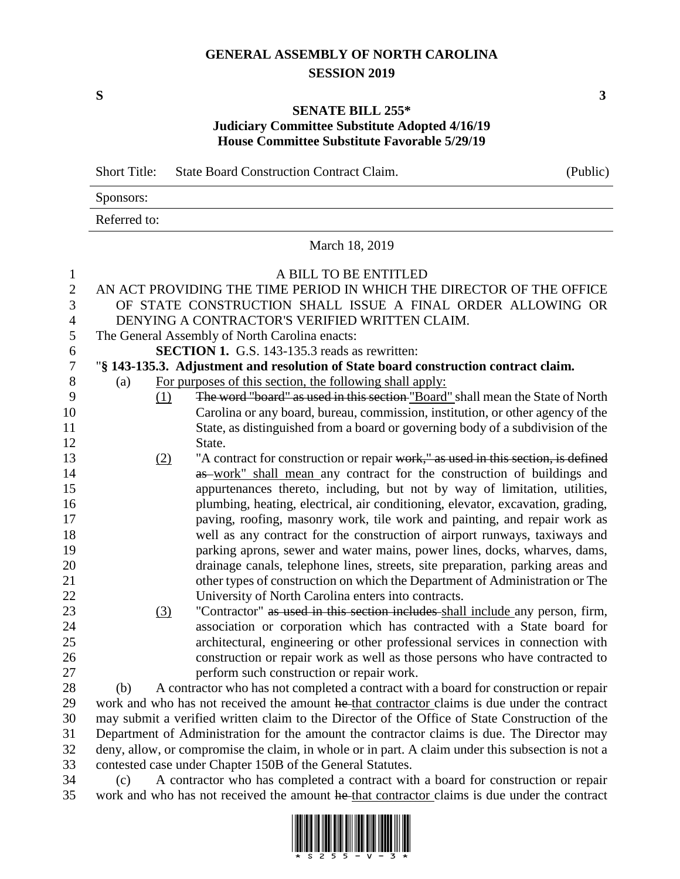## **GENERAL ASSEMBLY OF NORTH CAROLINA SESSION 2019**

**S 3**

## **SENATE BILL 255\* Judiciary Committee Substitute Adopted 4/16/19 House Committee Substitute Favorable 5/29/19**

|                  | <b>Short Title:</b>                                        |     | <b>State Board Construction Contract Claim.</b>                                                   | (Public) |  |
|------------------|------------------------------------------------------------|-----|---------------------------------------------------------------------------------------------------|----------|--|
|                  | Sponsors:                                                  |     |                                                                                                   |          |  |
|                  | Referred to:                                               |     |                                                                                                   |          |  |
|                  |                                                            |     | March 18, 2019                                                                                    |          |  |
| $\mathbf{1}$     |                                                            |     | A BILL TO BE ENTITLED                                                                             |          |  |
| $\mathbf{2}$     |                                                            |     | AN ACT PROVIDING THE TIME PERIOD IN WHICH THE DIRECTOR OF THE OFFICE                              |          |  |
| 3                |                                                            |     | OF STATE CONSTRUCTION SHALL ISSUE A FINAL ORDER ALLOWING OR                                       |          |  |
| $\overline{4}$   |                                                            |     | DENYING A CONTRACTOR'S VERIFIED WRITTEN CLAIM.                                                    |          |  |
| 5                | The General Assembly of North Carolina enacts:             |     |                                                                                                   |          |  |
| $\sqrt{6}$       | <b>SECTION 1.</b> G.S. 143-135.3 reads as rewritten:       |     |                                                                                                   |          |  |
| $\boldsymbol{7}$ |                                                            |     | "§ 143-135.3. Adjustment and resolution of State board construction contract claim.               |          |  |
| $8\,$            | (a)                                                        |     | For purposes of this section, the following shall apply:                                          |          |  |
| 9                |                                                            | (1) | The word "board" as used in this section "Board" shall mean the State of North                    |          |  |
| 10               |                                                            |     | Carolina or any board, bureau, commission, institution, or other agency of the                    |          |  |
| 11               |                                                            |     | State, as distinguished from a board or governing body of a subdivision of the                    |          |  |
| 12               |                                                            |     | State.                                                                                            |          |  |
| 13               |                                                            | (2) | "A contract for construction or repair work," as used in this section, is defined                 |          |  |
| 14               |                                                            |     | as work" shall mean any contract for the construction of buildings and                            |          |  |
| 15               |                                                            |     | appurtenances thereto, including, but not by way of limitation, utilities,                        |          |  |
| 16               |                                                            |     | plumbing, heating, electrical, air conditioning, elevator, excavation, grading,                   |          |  |
| 17               |                                                            |     | paving, roofing, masonry work, tile work and painting, and repair work as                         |          |  |
| 18               |                                                            |     | well as any contract for the construction of airport runways, taxiways and                        |          |  |
| 19               |                                                            |     | parking aprons, sewer and water mains, power lines, docks, wharves, dams,                         |          |  |
| 20               |                                                            |     | drainage canals, telephone lines, streets, site preparation, parking areas and                    |          |  |
| 21               |                                                            |     | other types of construction on which the Department of Administration or The                      |          |  |
| 22               |                                                            |     | University of North Carolina enters into contracts.                                               |          |  |
| 23               |                                                            | (3) | "Contractor" as used in this section includes shall include any person, firm,                     |          |  |
| 24               |                                                            |     | association or corporation which has contracted with a State board for                            |          |  |
| 25               |                                                            |     | architectural, engineering or other professional services in connection with                      |          |  |
| 26               |                                                            |     | construction or repair work as well as those persons who have contracted to                       |          |  |
| 27               |                                                            |     | perform such construction or repair work.                                                         |          |  |
| 28               | (b)                                                        |     | A contractor who has not completed a contract with a board for construction or repair             |          |  |
| 29               |                                                            |     | work and who has not received the amount he that contractor claims is due under the contract      |          |  |
| 30               |                                                            |     | may submit a verified written claim to the Director of the Office of State Construction of the    |          |  |
| 31               |                                                            |     | Department of Administration for the amount the contractor claims is due. The Director may        |          |  |
| 32               |                                                            |     | deny, allow, or compromise the claim, in whole or in part. A claim under this subsection is not a |          |  |
| 33               | contested case under Chapter 150B of the General Statutes. |     |                                                                                                   |          |  |
| 34               | (c)                                                        |     | A contractor who has completed a contract with a board for construction or repair                 |          |  |
| 35               |                                                            |     | work and who has not received the amount he-that contractor claims is due under the contract      |          |  |

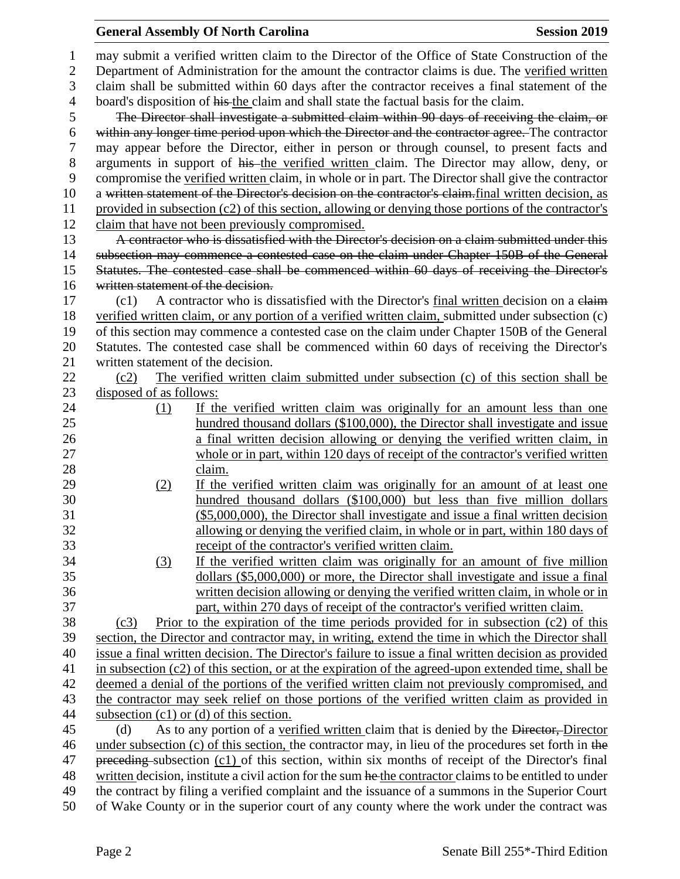## **General Assembly Of North Carolina Session 2019 Session 2019**  may submit a verified written claim to the Director of the Office of State Construction of the Department of Administration for the amount the contractor claims is due. The verified written claim shall be submitted within 60 days after the contractor receives a final statement of the 4 board's disposition of his the claim and shall state the factual basis for the claim. The Director shall investigate a submitted claim within 90 days of receiving the claim, or within any longer time period upon which the Director and the contractor agree. The contractor may appear before the Director, either in person or through counsel, to present facts and 8 arguments in support of his the verified written claim. The Director may allow, deny, or compromise the verified written claim, in whole or in part. The Director shall give the contractor 10 a written statement of the Director's decision on the contractor's claim. final written decision, as provided in subsection (c2) of this section, allowing or denying those portions of the contractor's claim that have not been previously compromised. 13 A contractor who is dissatisfied with the Director's decision on a claim submitted under this subsection may commence a contested case on the claim under Chapter 150B of the General Statutes. The contested case shall be commenced within 60 days of receiving the Director's written statement of the decision. 17 (c1) A contractor who is dissatisfied with the Director's final written decision on a claim verified written claim, or any portion of a verified written claim, submitted under subsection (c) of this section may commence a contested case on the claim under Chapter 150B of the General Statutes. The contested case shall be commenced within 60 days of receiving the Director's written statement of the decision. (c2) The verified written claim submitted under subsection (c) of this section shall be disposed of as follows: (1) If the verified written claim was originally for an amount less than one hundred thousand dollars (\$100,000), the Director shall investigate and issue a final written decision allowing or denying the verified written claim, in whole or in part, within 120 days of receipt of the contractor's verified written claim. (2) If the verified written claim was originally for an amount of at least one hundred thousand dollars (\$100,000) but less than five million dollars (\$5,000,000), the Director shall investigate and issue a final written decision allowing or denying the verified claim, in whole or in part, within 180 days of receipt of the contractor's verified written claim. (3) If the verified written claim was originally for an amount of five million dollars (\$5,000,000) or more, the Director shall investigate and issue a final written decision allowing or denying the verified written claim, in whole or in part, within 270 days of receipt of the contractor's verified written claim. (c3) Prior to the expiration of the time periods provided for in subsection (c2) of this section, the Director and contractor may, in writing, extend the time in which the Director shall issue a final written decision. The Director's failure to issue a final written decision as provided in subsection (c2) of this section, or at the expiration of the agreed-upon extended time, shall be deemed a denial of the portions of the verified written claim not previously compromised, and the contractor may seek relief on those portions of the verified written claim as provided in subsection (c1) or (d) of this section. 45 (d) As to any portion of a verified written claim that is denied by the <del>Director, D</del>irector 46 under subsection (c) of this section, the contractor may, in lieu of the procedures set forth in the 47 preceding subsection (c1) of this section, within six months of receipt of the Director's final 48 written decision, institute a civil action for the sum he the contractor claims to be entitled to under the contract by filing a verified complaint and the issuance of a summons in the Superior Court of Wake County or in the superior court of any county where the work under the contract was